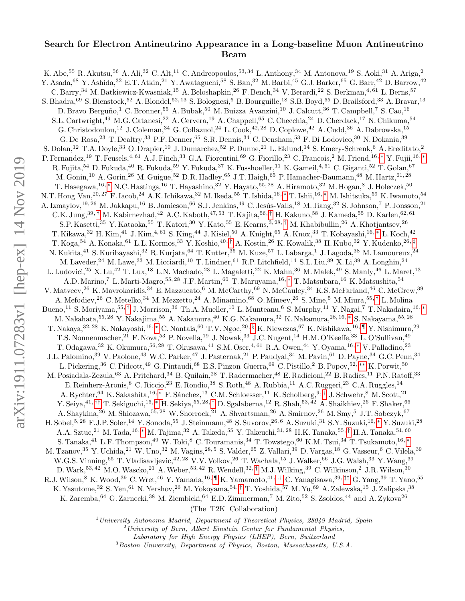## Search for Electron Antineutrino Appearance in a Long-baseline Muon Antineutrino Beam

K. Abe,<sup>55</sup> R. Akutsu,<sup>56</sup> A. Ali,<sup>32</sup> C. Alt,<sup>11</sup> C. Andreopoulos,<sup>53, 34</sup> L. Anthony,<sup>34</sup> M. Antonova,<sup>19</sup> S. Aoki,<sup>31</sup> A. Ariga,<sup>2</sup> Y. Asada, <sup>68</sup> Y. Ashida, <sup>32</sup> E.T. Atkin, <sup>21</sup> Y. Awataguchi, <sup>58</sup> S. Ban, <sup>32</sup> M. Barbi, <sup>45</sup> G.J. Barker, <sup>65</sup> G. Barr, <sup>42</sup> D. Barrow, <sup>42</sup> C. Barry,<sup>34</sup> M. Batkiewicz-Kwasniak,<sup>15</sup> A. Beloshapkin,<sup>26</sup> F. Bench,<sup>34</sup> V. Berardi,<sup>22</sup> S. Berkman,<sup>4, 61</sup> L. Berns.<sup>57</sup> S. Bhadra,<sup>69</sup> S. Bienstock,<sup>52</sup> A. Blondel,<sup>52, 13</sup> S. Bolognesi,<sup>6</sup> B. Bourguille,<sup>18</sup> S.B. Boyd,<sup>65</sup> D. Brailsford,<sup>33</sup> A. Bravar,<sup>13</sup> D. Bravo Berguño,<sup>1</sup> C. Bronner,<sup>55</sup> A. Bubak,<sup>50</sup> M. Buizza Avanzini,<sup>10</sup> J. Calcutt,<sup>36</sup> T. Campbell,<sup>7</sup> S. Cao,<sup>16</sup> S.L. Cartwright,<sup>49</sup> M.G. Catanesi,<sup>22</sup> A. Cervera,<sup>19</sup> A. Chappell,<sup>65</sup> C. Checchia,<sup>24</sup> D. Cherdack,<sup>17</sup> N. Chikuma,<sup>54</sup> G. Christodoulou,<sup>12</sup> J. Coleman,<sup>34</sup> G. Collazuol,<sup>24</sup> L. Cook,<sup>42,28</sup> D. Coplowe,<sup>42</sup> A. Cudd,<sup>36</sup> A. Dabrowska,<sup>15</sup> G. De Rosa, <sup>23</sup> T. Dealtry, <sup>33</sup> P.F. Denner, <sup>65</sup> S.R. Dennis, <sup>34</sup> C. Densham, <sup>53</sup> F. Di Lodovico, <sup>30</sup> N. Dokania, <sup>39</sup> S. Dolan,<sup>12</sup> T.A. Doyle,<sup>33</sup> O. Drapier,<sup>10</sup> J. Dumarchez,<sup>52</sup> P. Dunne,<sup>21</sup> L. Eklund,<sup>14</sup> S. Emery-Schrenk,<sup>6</sup> A. Ereditato,<sup>2</sup> P. Fernandez,<sup>19</sup> T. Feusels,<sup>4, 61</sup> A.J. Finch,<sup>33</sup> G.A. Fiorentini,<sup>69</sup> G. Fiorillo,<sup>23</sup> C. Francois,<sup>2</sup> M. Friend,<sup>16,</sup> \* Y. Fujii,<sup>16,</sup> \* R. Fujita,<sup>54</sup> D. Fukuda,<sup>40</sup> R. Fukuda,<sup>59</sup> Y. Fukuda,<sup>37</sup> K. Fusshoeller,<sup>11</sup> K. Gameil,<sup>4,61</sup> C. Giganti,<sup>52</sup> T. Golan,<sup>67</sup> M. Gonin,<sup>10</sup> A. Gorin,<sup>26</sup> M. Guigue,<sup>52</sup> D.R. Hadley,<sup>65</sup> J.T. Haigh,<sup>65</sup> P. Hamacher-Baumann,<sup>48</sup> M. Hartz,<sup>61,28</sup> T. Hasegawa,<sup>16,\*</sup> N.C. Hastings,<sup>16</sup> T. Hayashino,<sup>32</sup> Y. Hayato,<sup>55, 28</sup> A. Hiramoto,<sup>32</sup> M. Hogan,<sup>8</sup> J. Holeczek,<sup>50</sup> N.T. Hong Van,<sup>20, 27</sup> F. Iacob,<sup>24</sup> A.K. Ichikawa,<sup>32</sup> M. Ikeda,<sup>55</sup> T. Ishida,<sup>16,</sup> \* T. Ishii,<sup>16,</sup> \* M. Ishitsuka,<sup>59</sup> K. Iwamoto,<sup>54</sup> A. Izmaylov,<sup>19, 26</sup> M. Jakkapu,<sup>16</sup> B. Jamieson,<sup>66</sup> S.J. Jenkins,<sup>49</sup> C. Jesús-Valls,<sup>18</sup> M. Jiang,<sup>32</sup> S. Johnson,<sup>7</sup> P. Jonsson,<sup>21</sup>  $C.K.$  Jung,<sup>39, [†](#page-2-1)</sup> M. Kabirnezhad,<sup>42</sup> A.C. Kaboth,<sup>47,53</sup> T. Kajita,<sup>56,†</sup> H. Kakuno,<sup>58</sup> J. Kameda,<sup>55</sup> D. Karlen,<sup>62,61</sup> S.P. Kasetti,<sup>35</sup> Y. Kataoka,<sup>55</sup> T. Katori,<sup>30</sup> Y. Kato,<sup>55</sup> E. Kearns,<sup>3, 28,[†](#page-2-1)</sup> M. Khabibullin,<sup>26</sup> A. Khotjantsev,<sup>26</sup> T. Kikawa,<sup>32</sup> H. Kim,<sup>41</sup> J. Kim,<sup>4, 61</sup> S. King,<sup>44</sup> J. Kisiel,<sup>50</sup> A. Knight,<sup>65</sup> A. Knox,<sup>33</sup> T. Kobayashi,<sup>16,\*</sup> L. Koch,<sup>42</sup> T. Koga,<sup>54</sup> A. Konaka,<sup>61</sup> L.L. Kormos,<sup>33</sup> Y. Koshio,40, [†](#page-2-1) A. Kostin,<sup>26</sup> K. Kowalik,<sup>38</sup> H. Kubo,<sup>32</sup> Y. Kudenko,26, [‡](#page-2-2) N. Kukita,<sup>41</sup> S. Kuribayashi,<sup>32</sup> R. Kurjata,<sup>64</sup> T. Kutter,<sup>35</sup> M. Kuze,<sup>57</sup> L. Labarga,<sup>1</sup> J. Lagoda,<sup>38</sup> M. Lamoureux,<sup>24</sup> M. Laveder,<sup>24</sup> M. Lawe,<sup>33</sup> M. Licciardi,<sup>10</sup> T. Lindner,<sup>61</sup> R.P. Litchfield,<sup>14</sup> S.L. Liu,<sup>39</sup> X. Li,<sup>39</sup> A. Longhin,<sup>24</sup> L. Ludovici,<sup>25</sup> X. Lu,<sup>42</sup> T. Lux,<sup>18</sup> L.N. Machado,<sup>23</sup> L. Magaletti,<sup>22</sup> K. Mahn,<sup>36</sup> M. Malek,<sup>49</sup> S. Manly,<sup>46</sup> L. Maret,<sup>13</sup> A.D. Marino,<sup>7</sup> L. Marti-Magro,<sup>55, 28</sup> J.F. Martin,<sup>60</sup> T. Maruyama,<sup>16, [∗](#page-2-0)</sup> T. Matsubara,<sup>16</sup> K. Matsushita,<sup>54</sup> V. Matveev,<sup>26</sup> K. Mavrokoridis,<sup>34</sup> E. Mazzucato,<sup>6</sup> M. McCarthy,<sup>69</sup> N. McCauley,<sup>34</sup> K.S. McFarland,<sup>46</sup> C. McGrew,<sup>39</sup> A. Mefodiev,<sup>26</sup> C. Metelko,<sup>34</sup> M. Mezzetto,<sup>24</sup> A. Minamino,<sup>68</sup> O. Mineev,<sup>26</sup> S. Mine,<sup>5</sup> M. Miura,<sup>55,[†](#page-2-1)</sup> L. Molina Bueno,<sup>11</sup> S. Moriyama,<sup>55,[†](#page-2-1)</sup> J. Morrison,<sup>36</sup> Th.A. Mueller,<sup>10</sup> L. Munteanu,<sup>6</sup> S. Murphy,<sup>11</sup> Y. Nagai,<sup>7</sup> T. Nakadaira,<sup>16,</sup> \* M. Nakahata,<sup>55, 28</sup> Y. Nakajima,<sup>55</sup> A. Nakamura,<sup>40</sup> K.G. Nakamura,<sup>32</sup> K. Nakamura,<sup>28, 16, [∗](#page-2-0)</sup> S. Nakayama,<sup>55, 28</sup> T. Nakaya, $^{32, 28}$  K. Nakayoshi, $^{16,*}$  C. Nantais, $^{60}$  T.V. Ngoc, $^{20, 8}$  K. Niewczas, $^{67}$  K. Nishikawa, $^{16, \, \P}$  Y. Nishimura, $^{29}$ T.S. Nonnenmacher,<sup>21</sup> F. Nova,<sup>53</sup> P. Novella,<sup>19</sup> J. Nowak,<sup>33</sup> J.C. Nugent,<sup>14</sup> H.M. O'Keeffe,<sup>33</sup> L. O'Sullivan,<sup>49</sup> T. Odagawa,<sup>32</sup> K. Okumura,<sup>56, 28</sup> T. Okusawa,<sup>41</sup> S.M. Oser,<sup>4, 61</sup> R.A. Owen,<sup>44</sup> Y. Oyama,<sup>16,</sup> \* V. Palladino,<sup>23</sup> J.L. Palomino,<sup>39</sup> V. Paolone,<sup>43</sup> W.C. Parker,<sup>47</sup> J. Pasternak,<sup>21</sup> P. Paudyal,<sup>34</sup> M. Pavin,<sup>61</sup> D. Payne,<sup>34</sup> G.C. Penn,<sup>34</sup> L. Pickering,<sup>36</sup> C. Pidcott,<sup>49</sup> G. Pintaudi,<sup>68</sup> E.S. Pinzon Guerra,<sup>69</sup> C. Pistillo,<sup>2</sup> B. Popov,<sup>52,\*\*</sup> K. Porwit,<sup>50</sup> M. Posiadala-Zezula,<sup>63</sup> A. Pritchard,<sup>34</sup> B. Quilain,<sup>28</sup> T. Radermacher,<sup>48</sup> E. Radicioni,<sup>22</sup> B. Radics,<sup>11</sup> P.N. Ratoff,<sup>33</sup> E. Reinherz-Aronis,<sup>8</sup> C. Riccio,<sup>23</sup> E. Rondio,<sup>38</sup> S. Roth,<sup>48</sup> A. Rubbia,<sup>11</sup> A.C. Ruggeri,<sup>23</sup> C.A. Ruggles,<sup>14</sup> A. Rychter,<sup>64</sup> K. Sakashita,<sup>16,</sup> [∗](#page-2-0) F. Sánchez,<sup>13</sup> C.M. Schloesser,<sup>11</sup> K. Scholberg,<sup>9,[†](#page-2-1)</sup> J. Schwehr,<sup>8</sup> M. Scott,<sup>21</sup> Y. Seiya,<sup>41,[††](#page-2-6)</sup> T. Sekiguchi,<sup>16,</sup> [∗](#page-2-0) H. Sekiya,<sup>55, 28,[†](#page-2-1)</sup> D. Sgalaberna,<sup>12</sup> R. Shah,<sup>53, 42</sup> A. Shaikhiev,<sup>26</sup> F. Shaker,<sup>66</sup> A. Shaykina,<sup>26</sup> M. Shiozawa,<sup>55, 28</sup> W. Shorrock,<sup>21</sup> A. Shvartsman,<sup>26</sup> A. Smirnov,<sup>26</sup> M. Smy,<sup>5</sup> J.T. Sobczyk,<sup>67</sup> H. Sobel,5, 28 F.J.P. Soler,<sup>14</sup> Y. Sonoda,<sup>55</sup> J. Steinmann,<sup>48</sup> S. Suvorov,26, 6 A. Suzuki,<sup>31</sup> S.Y. Suzuki,16, [∗](#page-2-0) Y. Suzuki,<sup>28</sup> A.A. Sztuc,<sup>21</sup> M. Tada,<sup>16,</sup> \* M. Tajima,<sup>32</sup> A. Takeda,<sup>55</sup> Y. Takeuchi,<sup>31, 28</sup> H.K. Tanaka,<sup>55,[†](#page-2-1)</sup> H.A. Tanaka,<sup>51,60</sup> S. Tanaka,<sup>41</sup> L.F. Thompson,<sup>49</sup> W. Toki,<sup>8</sup> C. Touramanis,<sup>34</sup> T. Towstego,<sup>60</sup> K.M. Tsui,<sup>34</sup> T. Tsukamoto,<sup>16,\*</sup> M. Tzanov, <sup>35</sup> Y. Uchida, <sup>21</sup> W. Uno, <sup>32</sup> M. Vagins, <sup>28, 5</sup> S. Valder, <sup>65</sup> Z. Vallari, <sup>39</sup> D. Vargas, <sup>18</sup> G. Vasseur, <sup>6</sup> C. Vilela, <sup>39</sup> W.G.S. Vinning, <sup>65</sup> T. Vladisavljevic, <sup>42, 28</sup> V.V. Volkov, <sup>26</sup> T. Wachala, <sup>15</sup> J. Walker, <sup>66</sup> J.G. Walsh, <sup>33</sup> Y. Wang, <sup>39</sup> D. Wark,  $53, 42$  M.O. Wascko,  $21$  A. Weber,  $53, 42$  R. Wendell,  $32, \dagger$  M.J. Wilking,  $39$  C. Wilkinson,  $2$  J.R. Wilson,  $30$ R.J. Wilson,<sup>8</sup> K. Wood,<sup>39</sup> C. Wret,<sup>46</sup> Y. Yamada,<sup>16, [¶](#page-2-4)</sup> K. Yamamoto,<sup>41, [††](#page-2-6)</sup> C. Yanagisawa,<sup>39, [‡‡](#page-2-7)</sup> G. Yang,<sup>39</sup> T. Yano,<sup>55</sup> K. Yasutome,<sup>32</sup> S. Yen,<sup>61</sup> N. Yershov,<sup>26</sup> M. Yokoyama,<sup>54,[†](#page-2-1)</sup> T. Yoshida,<sup>57</sup> M. Yu,<sup>69</sup> A. Zalewska,<sup>15</sup> J. Zalipska,<sup>38</sup> K. Zaremba, <sup>64</sup> G. Zarnecki, <sup>38</sup> M. Ziembicki, <sup>64</sup> E.D. Zimmerman,<sup>7</sup> M. Zito, <sup>52</sup> S. Zsoldos, <sup>44</sup> and A. Zykova<sup>26</sup> (The T2K Collaboration)

 $1$ University Autonoma Madrid, Department of Theoretical Physics, 28049 Madrid, Spain

- $2$ University of Bern, Albert Einstein Center for Fundamental Physics,
	- Laboratory for High Energy Physics (LHEP), Bern, Switzerland

<sup>3</sup>Boston University, Department of Physics, Boston, Massachusetts, U.S.A.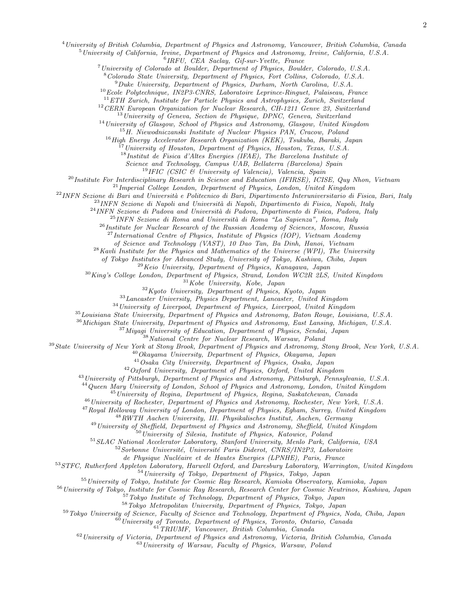<sup>4</sup>University of British Columbia, Department of Physics and Astronomy, Vancouver, British Columbia, Canada

 $5$ University of California, Irvine, Department of Physics and Astronomy, Irvine, California, U.S.A.

6 IRFU, CEA Saclay, Gif-sur-Yvette, France

<sup>7</sup>University of Colorado at Boulder, Department of Physics, Boulder, Colorado, U.S.A.

<sup>8</sup>Colorado State University, Department of Physics, Fort Collins, Colorado, U.S.A.

 $^{9}$ Duke University, Department of Physics, Durham, North Carolina, U.S.A.

 $^{10}$ Ecole Polytechnique, IN2P3-CNRS, Laboratoire Leprince-Ringuet, Palaiseau, France

<sup>11</sup>ETH Zurich, Institute for Particle Physics and Astrophysics, Zurich, Switzerland

<sup>12</sup> CERN European Organization for Nuclear Research, CH-1211 Genve 23, Switzerland

 $13$ University of Geneva, Section de Physique, DPNC, Geneva, Switzerland

 $14$ University of Glasgow, School of Physics and Astronomy, Glasgow, United Kingdom

<sup>15</sup>H. Niewodniczanski Institute of Nuclear Physics PAN, Cracow, Poland

<sup>16</sup> High Energy Accelerator Research Organization (KEK), Tsukuba, Ibaraki, Japan

 $\tilde{H}$ <sup>7</sup>University of Houston, Department of Physics, Houston, Texas, U.S.A.

<sup>18</sup>Institut de Fisica d'Altes Energies (IFAE), The Barcelona Institute of

Science and Technology, Campus UAB, Bellaterra (Barcelona) Spain

 $19$ IFIC (CSIC & University of Valencia), Valencia, Spain

<sup>20</sup> Institute For Interdisciplinary Research in Science and Education (IFIRSE), ICISE, Quy Nhon, Vietnam

 $^{21}$ Imperial College London, Department of Physics, London, United Kingdom

 $^{22}$ INFN Sezione di Bari and Università e Politecnico di Bari, Dipartimento Interuniversitario di Fisica, Bari, Italy

 $^{23}$ INFN Sezione di Napoli and Università di Napoli, Dipartimento di Fisica, Napoli, Italy

 $^{24}$ INFN Sezione di Padova and Università di Padova, Dipartimento di Fisica, Padova, Italy

 $^{25}$ INFN Sezione di Roma and Università di Roma "La Sapienza", Roma, Italy

 $^{26}$ Institute for Nuclear Research of the Russian Academy of Sciences, Moscow, Russia

 $^{27}$ International Centre of Physics, Institute of Physics (IOP), Vietnam Academy

of Science and Technology (VAST), 10 Dao Tan, Ba Dinh, Hanoi, Vietnam

 $28$ Kavli Institute for the Physics and Mathematics of the Universe (WPI), The University

of Tokyo Institutes for Advanced Study, University of Tokyo, Kashiwa, Chiba, Japan

<sup>29</sup>Keio University, Department of Physics, Kanagawa, Japan

<sup>30</sup>King's College London, Department of Physics, Strand, London WC2R 2LS, United Kingdom

 $31Kobe$  University, Kobe, Japan

 $32$ Kyoto University, Department of Physics, Kyoto, Japan

<sup>33</sup>Lancaster University, Physics Department, Lancaster, United Kingdom

 $34$ University of Liverpool, Department of Physics, Liverpool, United Kingdom

<sup>35</sup>Louisiana State University, Department of Physics and Astronomy, Baton Rouge, Louisiana, U.S.A.

<sup>36</sup>Michigan State University, Department of Physics and Astronomy, East Lansing, Michigan, U.S.A.

 $37$ Miyagi University of Education, Department of Physics, Sendai, Japan

<sup>38</sup>National Centre for Nuclear Research, Warsaw, Poland

<sup>39</sup> State University of New York at Stony Brook, Department of Physics and Astronomy, Stony Brook, New York, U.S.A.

 $40$ Okayama University, Department of Physics, Okayama, Japan

<sup>41</sup>Osaka City University, Department of Physics, Osaka, Japan

<sup>42</sup>Oxford University, Department of Physics, Oxford, United Kingdom

<sup>43</sup> University of Pittsburgh, Department of Physics and Astronomy, Pittsburgh, Pennsylvania, U.S.A.

<sup>44</sup> Queen Mary University of London, School of Physics and Astronomy, London, United Kingdom

<sup>45</sup> University of Regina, Department of Physics, Regina, Saskatchewan, Canada

<sup>46</sup>University of Rochester, Department of Physics and Astronomy, Rochester, New York, U.S.A.

 $47$ Royal Holloway University of London, Department of Physics, Egham, Surrey, United Kingdom

<sup>48</sup>RWTH Aachen University, III. Physikalisches Institut, Aachen, Germany

<sup>49</sup>University of Sheffield, Department of Physics and Astronomy, Sheffield, United Kingdom

 $50$ University of Silesia, Institute of Physics, Katowice, Poland

<sup>51</sup> SLAC National Accelerator Laboratory, Stanford University, Menlo Park, California, USA

 $52$ Sorbonne Université, Université Paris Diderot, CNRS/IN2P3, Laboratoire

de Physique Nucléaire et de Hautes Energies (LPNHE), Paris, France

<sup>53</sup>STFC, Rutherford Appleton Laboratory, Harwell Oxford, and Daresbury Laboratory, Warrington, United Kingdom

<sup>54</sup>University of Tokyo, Department of Physics, Tokyo, Japan

<sup>55</sup>University of Tokyo, Institute for Cosmic Ray Research, Kamioka Observatory, Kamioka, Japan

<sup>56</sup>University of Tokyo, Institute for Cosmic Ray Research, Research Center for Cosmic Neutrinos, Kashiwa, Japan

<sup>57</sup>Tokyo Institute of Technology, Department of Physics, Tokyo, Japan

<sup>58</sup>Tokyo Metropolitan University, Department of Physics, Tokyo, Japan

<sup>59</sup>Tokyo University of Science, Faculty of Science and Technology, Department of Physics, Noda, Chiba, Japan

<sup>60</sup>University of Toronto, Department of Physics, Toronto, Ontario, Canada

<sup>61</sup>TRIUMF, Vancouver, British Columbia, Canada

 $62$ University of Victoria, Department of Physics and Astronomy, Victoria, British Columbia, Canada

<sup>63</sup>University of Warsaw, Faculty of Physics, Warsaw, Poland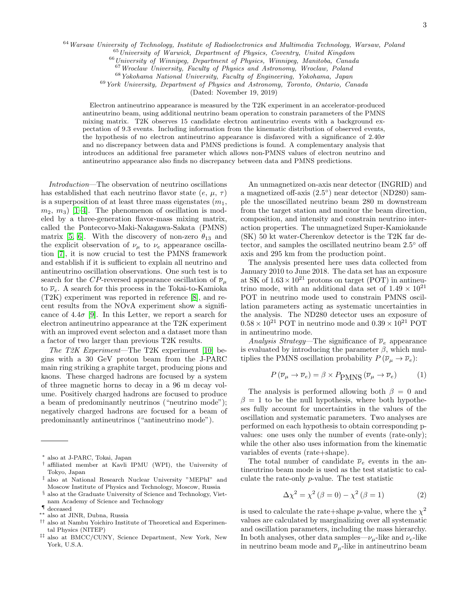<sup>64</sup> Warsaw University of Technology, Institute of Radioelectronics and Multimedia Technology, Warsaw, Poland

<sup>65</sup>University of Warwick, Department of Physics, Coventry, United Kingdom

 $^{66}\,University$  of Winnipeg, Department of Physics, Winnipeg, Manitoba, Canada

<sup>67</sup>Wroclaw University, Faculty of Physics and Astronomy, Wroclaw, Poland

<sup>68</sup>Yokohama National University, Faculty of Engineering, Yokohama, Japan

<sup>69</sup>York University, Department of Physics and Astronomy, Toronto, Ontario, Canada

(Dated: November 19, 2019)

Electron antineutrino appearance is measured by the T2K experiment in an accelerator-produced antineutrino beam, using additional neutrino beam operation to constrain parameters of the PMNS mixing matrix. T2K observes 15 candidate electron antineutrino events with a background expectation of 9.3 events. Including information from the kinematic distribution of observed events, the hypothesis of no electron antineutrino appearance is disfavored with a significance of  $2.40\sigma$ and no discrepancy between data and PMNS predictions is found. A complementary analysis that introduces an additional free parameter which allows non-PMNS values of electron neutrino and antineutrino appearance also finds no discrepancy between data and PMNS predictions.

Introduction—The observation of neutrino oscillations has established that each neutrino flavor state  $(e, \mu, \tau)$ is a superposition of at least three mass eigenstates  $(m_1,$  $m_2, m_3$ ) [\[1](#page-6-0)[–4\]](#page-6-1). The phenomenon of oscillation is modeled by a three-generation flavor-mass mixing matrix, called the Pontecorvo-Maki-Nakagawa-Sakata (PMNS) matrix [\[5,](#page-6-2) [6\]](#page-6-3). With the discovery of non-zero  $\theta_{13}$  and the explicit observation of  $\nu_{\mu}$  to  $\nu_{e}$  appearance oscillation [\[7\]](#page-6-4), it is now crucial to test the PMNS framework and establish if it is sufficient to explain all neutrino and antineutrino oscillation observations. One such test is to search for the CP-reversed appearance oscillation of  $\overline{\nu}_{\mu}$ to  $\overline{\nu}_e$ . A search for this process in the Tokai-to-Kamioka (T2K) experiment was reported in reference [\[8\]](#page-6-5), and recent results from the NOvA experiment show a significance of  $4.4\sigma$  [\[9\]](#page-6-6). In this Letter, we report a search for electron antineutrino appearance at the T2K experiment with an improved event selecton and a dataset more than a factor of two larger than previous T2K results.

The T2K Experiment—The T2K experiment [\[10\]](#page-6-7) begins with a 30 GeV proton beam from the J-PARC main ring striking a graphite target, producing pions and kaons. These charged hadrons are focused by a system of three magnetic horns to decay in a 96 m decay volume. Positively charged hadrons are focused to produce a beam of predominantly neutrinos ("neutrino mode"); negatively charged hadrons are focused for a beam of predominantly antineutrinos ("antineutrino mode").

- <span id="page-2-5"></span>∗∗ also at JINR, Dubna, Russia
- <span id="page-2-6"></span>†† also at Nambu Yoichiro Institute of Theoretical and Experimental Physics (NITEP)
- <span id="page-2-7"></span>‡‡ also at BMCC/CUNY, Science Department, New York, New York, U.S.A.

An unmagnetized on-axis near detector (INGRID) and a magnetized off-axis (2.5◦ ) near detector (ND280) sample the unoscillated neutrino beam 280 m downstream from the target station and monitor the beam direction, composition, and intensity and constrain neutrino interaction properties. The unmagnetized Super-Kamiokande (SK) 50 kt water-Cherenkov detector is the T2K far detector, and samples the oscillated neutrino beam 2.5◦ off axis and 295 km from the production point.

The analysis presented here uses data collected from January 2010 to June 2018. The data set has an exposure at SK of  $1.63 \times 10^{21}$  protons on target (POT) in antineutrino mode, with an additional data set of  $1.49 \times 10^{21}$ POT in neutrino mode used to constrain PMNS oscillation parameters acting as systematic uncertainties in the analysis. The ND280 detector uses an exposure of  $0.58 \times 10^{21}$  POT in neutrino mode and  $0.39 \times 10^{21}$  POT in antineutrino mode.

Analysis Strategy—The significance of  $\overline{\nu}_e$  appearance is evaluated by introducing the parameter  $\beta$ , which multiplies the PMNS oscillation probability  $P(\overline{\nu}_{\mu} \to \overline{\nu}_{e})$ :

<span id="page-2-8"></span>
$$
P(\overline{\nu}_{\mu} \to \overline{\nu}_{e}) = \beta \times P_{PMNS}(\overline{\nu}_{\mu} \to \overline{\nu}_{e}) \tag{1}
$$

The analysis is performed allowing both  $\beta = 0$  and  $\beta = 1$  to be the null hypothesis, where both hypotheses fully account for uncertainties in the values of the oscillation and systematic parameters. Two analyses are performed on each hypothesis to obtain corresponding pvalues: one uses only the number of events (rate-only); while the other also uses information from the kinematic variables of events (rate+shape).

The total number of candidate  $\overline{\nu}_e$  events in the antineutrino beam mode is used as the test statistic to calculate the rate-only p-value. The test statistic

$$
\Delta \chi^2 = \chi^2 \left( \beta = 0 \right) - \chi^2 \left( \beta = 1 \right) \tag{2}
$$

is used to calculate the rate+shape *p*-value, where the  $\chi^2$ values are calculated by marginalizing over all systematic and oscillation parameters, including the mass hierarchy. In both analyses, other data samples— $\nu_\mu$ -like and  $\nu_e$ -like in neutrino beam mode and  $\overline{\nu}_{\mu}$ -like in antineutrino beam

<span id="page-2-0"></span><sup>∗</sup> also at J-PARC, Tokai, Japan

<span id="page-2-1"></span><sup>†</sup> affiliated member at Kavli IPMU (WPI), the University of Tokyo, Japan

<span id="page-2-2"></span><sup>‡</sup> also at National Research Nuclear University "MEPhI" and Moscow Institute of Physics and Technology, Moscow, Russia

<span id="page-2-3"></span><sup>§</sup> also at the Graduate University of Science and Technology, Vietnam Academy of Science and Technology

<span id="page-2-4"></span> $\P$  deceased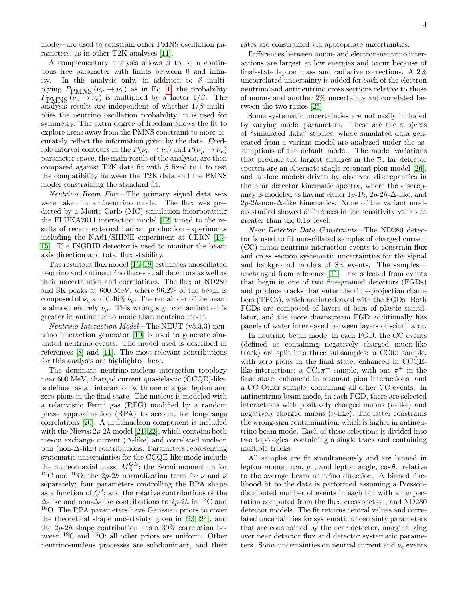mode—are used to constrain other PMNS oscillation parameters, as in other T2K analyses [\[11\]](#page-6-8).

A complementary analysis allows  $\beta$  to be a continuous free parameter with limits between 0 and infinity. In this analysis only, in addition to  $\beta$  multiplying  $P_{PMNS} (\overline{\nu}_{\mu} \rightarrow \overline{\nu}_{e})$  as in Eq. [1,](#page-2-8) the probability  $P_{PMNS}(\nu_{\mu} \rightarrow \nu_e)$  is multiplied by a factor  $1/\beta$ . The analysis results are independent of whether  $1/\beta$  multiplies the neutrino oscillation probability; it is used for symmetry. The extra degree of freedom allows the fit to explore areas away from the PMNS constraint to more accurately reflect the information given by the data. Credible interval contours in the  $P(\nu_\mu \to \nu_e)$  and  $P(\overline{\nu}_\mu \to \overline{\nu}_e)$ parameter space, the main result of the analysis, are then compared against T2K data fit with  $\beta$  fixed to 1 to test the compatibility between the T2K data and the PMNS model constraining the standard fit.

Neutrino Beam Flux—The primary signal data sets were taken in antineutrino mode. The flux was predicted by a Monte Carlo (MC) simulation incorporating the FLUKA2011 interaction model [\[12\]](#page-6-9) tuned to the results of recent external hadron production experiments including the NA61/SHINE experiment at CERN [\[13–](#page-6-10) [15\]](#page-6-11). The INGRID detector is used to monitor the beam axis direction and total flux stability.

The resultant flux model [\[16–](#page-6-12)[18\]](#page-6-13) estimates unoscillated neutrino and antineutrino fluxes at all detectors as well as their uncertainties and correlations. The flux at ND280 and SK peaks at 600 MeV, where 96.2% of the beam is composed of  $\bar{\nu}_{\mu}$  and 0.46%  $\bar{\nu}_{e}$ . The remainder of the beam is almost entirely  $\nu_{\mu}$ . This wrong sign contamination is greater in antineutrino mode than neutrino mode.

Neutrino Interaction Model—The NEUT (v5.3.3) neutrino interaction generator [\[19\]](#page-6-14) is used to generate simulated neutrino events. The model used is described in references [\[8\]](#page-6-5) and [\[11\]](#page-6-8). The most relevant contributions for this analysis are highlighted here.

The dominant neutrino-nucleus interaction topology near 600 MeV, charged current quasielastic (CCQE)-like, is defined as an interaction with one charged lepton and zero pions in the final state. The nucleus is modeled with a relativistic Fermi gas (RFG) modified by a random phase approximation (RPA) to account for long-range correlations [\[20\]](#page-6-15). A multinucleon component is included with the Nieves  $2p-2h$  model [\[21,](#page-6-16) [22\]](#page-6-17), which contains both meson exchange current  $(\Delta\text{-like})$  and correlated nucleon pair (non-∆-like) contributions. Parameters representing systematic uncertainties for the CCQE-like mode include the nucleon axial mass,  $M_A^{QE}$ ; the Fermi momentum for <sup>12</sup>C and <sup>16</sup>O; the 2p-2h normalization term for  $\nu$  and  $\overline{\nu}$ separately; four parameters controlling the RPA shape as a function of  $Q^2$ ; and the relative contributions of the  $\Delta$ -like and non- $\Delta$ -like contributions to 2p-2h in <sup>12</sup>C and <sup>16</sup>O. The RPA parameters have Gaussian priors to cover the theoretical shape uncertainty given in [\[23,](#page-6-18) [24\]](#page-6-19), and the  $2p-2h$  shape contribution has a 30% correlation between  ${}^{12}$ C and  ${}^{16}$ O; all other priors are uniform. Other neutrino-nucleus processes are subdominant, and their

rates are constrained via appropriate uncertainties.

Differences between muon- and electron-neutrino interactions are largest at low energies and occur because of final-state lepton mass and radiative corrections. A 2% uncorrelated uncertainty is added for each of the electron neutrino and antineutrino cross sections relative to those of muons and another 2% uncertainty anticorrelated between the two ratios [\[25\]](#page-6-20).

Some systematic uncertainties are not easily included by varying model parameters. These are the subjects of "simulated data" studies, where simulated data generated from a variant model are analyzed under the assumptions of the default model. The model variations that produce the largest changes in the  $\bar{\nu}_e$  far detector spectra are an alternate single resonant pion model [\[26\]](#page-7-0), and ad-hoc models driven by observed discrepancies in the near detector kinematic spectra, where the discrepancy is modeled as having either  $1p-1h$ ,  $2p-2h-\Delta$ -like, and 2p-2h-non-∆-like kinematics. None of the variant models studied showed differences in the sensitivity values at greater than the  $0.1\sigma$  level.

Near Detector Data Constraints—The ND280 detector is used to fit unoscillated samples of charged current (CC) muon neutrino interaction events to constrain flux and cross section systematic uncertainties for the signal and background models of SK events. The samples unchanged from reference [\[11\]](#page-6-8)—are selected from events that begin in one of two fine-grained detectors (FGDs) and produce tracks that enter the time-projection chambers (TPCs), which are interleaved with the FGDs. Both FGDs are composed of layers of bars of plastic scintillator, and the more downstream FGD additionally has panels of water interleaved between layers of scintillator.

In neutrino beam mode, in each FGD, the CC events (defined as containing negatively charged muon-like track) are split into three subsamples: a  $CC0\pi$  sample, with zero pions in the final state, enhanced in CCQElike interactions; a CC1 $\pi$ <sup>+</sup> sample, with one  $\pi$ <sup>+</sup> in the final state, enhanced in resonant pion interactions; and a CC Other sample, containing all other CC events. In antineutrino beam mode, in each FGD, there are selected interactions with positively charged muons  $(\bar{\nu}$ -like) and negatively charged muons  $(\nu$ -like). The latter constrains the wrong-sign contamination, which is higher in antineutrino beam mode. Each of these selections is divided into two topologies: containing a single track and containing multiple tracks.

All samples are fit simultaneously and are binned in lepton momentum,  $p_{\mu}$ , and lepton angle,  $\cos \theta_{\mu}$  relative to the average beam neutrino direction. A binned likelihood fit to the data is performed assuming a Poissondistributed number of events in each bin with an expectation computed from the flux, cross section, and ND280 detector models. The fit returns central values and correlated uncertainties for systematic uncertainty parameters that are constrained by the near detector, marginalizing over near detector flux and detector systematic parameters. Some uncertainties on neutral current and  $\nu_e$  events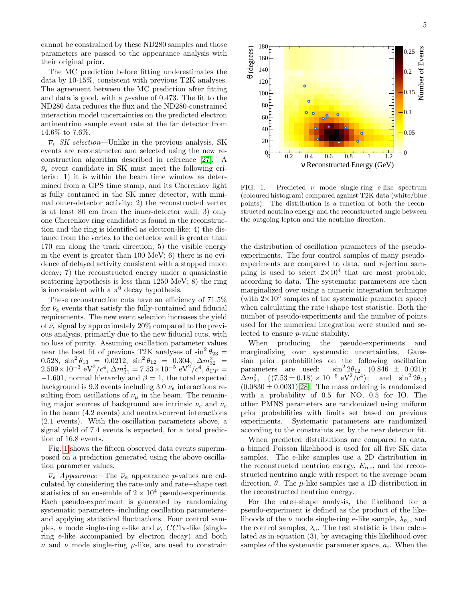cannot be constrained by these ND280 samples and those parameters are passed to the appearance analysis with their original prior.

The MC prediction before fitting underestimates the data by 10-15%, consistent with previous T2K analyses. The agreement between the MC prediction after fitting and data is good, with a p-value of 0.473. The fit to the ND280 data reduces the flux and the ND280-constrained interaction model uncertainties on the predicted electron antineutrino sample event rate at the far detector from 14.6% to 7.6%.

 $\overline{\nu}_e$  SK selection—Unlike in the previous analysis, SK events are reconstructed and selected using the new reconstruction algorithm described in reference [\[27\]](#page-7-1). A  $\bar{\nu}_e$  event candidate in SK must meet the following criteria: 1) it is within the beam time window as determined from a GPS time stamp, and its Cherenkov light is fully contained in the SK inner detector, with minimal outer-detector activity; 2) the reconstructed vertex is at least 80 cm from the inner-detector wall; 3) only one Cherenkov ring candidate is found in the reconstruction and the ring is identified as electron-like; 4) the distance from the vertex to the detector wall is greater than 170 cm along the track direction; 5) the visible energy in the event is greater than 100 MeV; 6) there is no evidence of delayed activity consistent with a stopped muon decay; 7) the reconstructed energy under a quasielastic scattering hypothesis is less than 1250 MeV; 8) the ring is inconsistent with a  $\pi^0$  decay hypothesis.

These reconstruction cuts have an efficiency of 71.5% for  $\bar{\nu}_e$  events that satisfy the fully-contained and fiducial requirements. The new event selection increases the yield of  $\bar{\nu}_e$  signal by approximately 20% compared to the previous analysis, primarily due to the new fiducial cuts, with no loss of purity. Assuming oscillation parameter values near the best fit of previous T2K analyses of  $\sin^2 \theta_{23} =$ 0.528,  $\sin^2 \theta_{13} = 0.0212$ ,  $\sin^2 \theta_{12} = 0.304$ ,  $\Delta m_{32}^2 =$  $2.509 \times 10^{-3} \text{ eV}^2/c^4$ ,  $\Delta m_{21}^2 = 7.53 \times 10^{-5} \text{ eV}^2/c^4$ ,  $\delta_{CP}^2 =$  $-1.601$ , normal hierarchy and  $\beta = 1$ , the total expected background is 9.3 events including 3.0  $\nu_e$  interactions resulting from oscillations of  $\nu_{\mu}$  in the beam. The remaining major sources of background are intrinsic  $\nu_e$  and  $\bar{\nu}_e$ in the beam (4.2 events) and neutral-current interactions (2.1 events). With the oscillation parameters above, a signal yield of 7.4 events is expected, for a total prediction of 16.8 events.

Fig. [1](#page-4-0) shows the fifteen observed data events superimposed on a prediction generated using the above oscillation parameter values.

 $\overline{\nu}_e$  Appearance—The  $\overline{\nu}_e$  appearance p-values are calculated by considering the rate-only and rate+shape test statistics of an ensemble of  $2 \times 10^4$  pseudo-experiments. Each pseudo-experiment is generated by randomizing systematic parameters–including oscillation parameters– and applying statistical fluctuations. Four control samples,  $\nu$  mode single-ring e-like and  $\nu_e$  CC1 $\pi$ -like (singlering e-like accompanied by electron decay) and both  $\nu$  and  $\overline{\nu}$  mode single-ring  $\mu$ -like, are used to constrain



FIG. 1. Predicted  $\overline{\nu}$  mode single-ring e-like spectrum (coloured histogram) compared against T2K data (white/blue points). The distribution is a function of both the reconstructed neutrino energy and the reconstructed angle between the outgoing lepton and the neutrino direction.

<span id="page-4-0"></span>0 0.2 0.4 0.6 0.8 1 1.2

(degrees) θ

 $120\frac{[}{}$ 

140 160 180

ν Reconstructed Energy (GeV)

the distribution of oscillation parameters of the pseudoexperiments. The four control samples of many pseudoexperiments are compared to data, and rejection sampling is used to select  $2 \times 10^4$  that are most probable, according to data. The systematic parameters are then marginalized over using a numeric integration technique (with  $2 \times 10^5$  samples of the systematic parameter space) when calculating the rate+shape test statistic. Both the number of pseudo-experiments and the number of points used for the numerical integration were studied and selected to ensure p-value stability.

When producing the pseudo-experiments and marginalizing over systematic uncertainties, Gaussian prior probabilities on the following oscillation parameters are used:  $\sin^2 2\theta_{12}$  (0.846  $\pm$  0.021);  $\Delta m_{21}^2 \quad ((7.53 \pm 0.18) \times 10^{-5} \text{ eV}^2/\text{c}^4); \quad \text{and} \quad \sin^2 2\theta_{13}$  $(0.0830 \pm 0.0031)[28]$  $(0.0830 \pm 0.0031)[28]$ . The mass ordering is randomized with a probability of 0.5 for NO, 0.5 for IO. The other PMNS parameters are randomized using uniform prior probabilities with limits set based on previous experiments. Systematic parameters are randomized according to the constraints set by the near detector fit.

When predicted distributions are compared to data, a binned Poisson likelihood is used for all five SK data samples. The e-like samples use a 2D distribution in the reconstructed neutrino energy,  $E_{\text{rec}}$ , and the reconstructed neutrino angle with respect to the average beam direction,  $\theta$ . The  $\mu$ -like samples use a 1D distribution in the reconstructed neutrino energy.

For the rate+shape analysis, the likelihood for a pseudo-experiment is defined as the product of the likelihoods of the  $\bar{\nu}$  mode single-ring e-like sample,  $\lambda_{\bar{\nu}_e}$ , and the control samples,  $\lambda_c$ . The test statistic is then calculated as in equation (3), by averaging this likelihood over samples of the systematic parameter space,  $a_i$ . When the

0−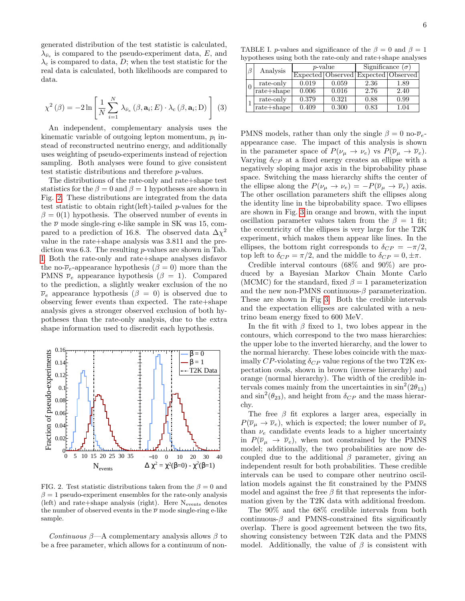generated distribution of the test statistic is calculated,  $\lambda_{\bar{\nu}_e}$  is compared to the pseudo-experiment data, E, and  $\lambda_c$  is compared to data, D; when the test statistic for the real data is calculated, both likelihoods are compared to data.

$$
\chi^{2}(\beta) = -2\ln\left[\frac{1}{N}\sum_{i=1}^{N}\lambda_{\bar{\nu}_{e}}(\beta,\mathbf{a}_{i};E)\cdot\lambda_{c}(\beta,\mathbf{a}_{i};D)\right]
$$
(3)

An independent, complementary analysis uses the kinematic variable of outgoing lepton momentum,  $p_1$  instead of reconstructed neutrino energy, and additionally uses weighting of pseudo-experiments instead of rejection sampling. Both analyses were found to give consistent test statistic distributions and therefore p-values.

The distributions of the rate-only and rate+shape test statistics for the  $\beta = 0$  and  $\beta = 1$  hypotheses are shown in Fig. [2.](#page-5-0) These distributions are integrated from the data test statistic to obtain right(left)-tailed p-values for the  $\beta = 0(1)$  hypothesis. The observed number of events in the  $\overline{\nu}$  mode single-ring e-like sample in SK was 15, compared to a prediction of 16.8. The observed data  $\Delta \chi^2$ value in the rate+shape analysis was 3.811 and the prediction was 6.3. The resulting p-values are shown in Tab. [I.](#page-5-1) Both the rate-only and rate+shape analyses disfavor the no- $\overline{\nu}_e$ -appearance hypothesis ( $\beta = 0$ ) more than the PMNS  $\overline{\nu}_e$  appearance hypothesis ( $\beta = 1$ ). Compared to the prediction, a slightly weaker exclusion of the no  $\overline{\nu}_e$  appearance hypothesis ( $\beta = 0$ ) is observed due to observing fewer events than expected. The rate+shape analysis gives a stronger observed exclusion of both hypotheses than the rate-only analysis, due to the extra shape information used to discredit each hypothesis.



<span id="page-5-0"></span>FIG. 2. Test statistic distributions taken from the  $\beta = 0$  and  $\beta = 1$  pseudo-experiment ensembles for the rate-only analysis (left) and rate+shape analysis (right). Here  $N_{events}$  denotes the number of observed events in the  $\overline{\nu}$  mode single-ring e-like sample.

Continuous  $\beta$ —A complementary analysis allows  $\beta$  to be a free parameter, which allows for a continuum of non-

TABLE I. p-values and significance of the  $\beta = 0$  and  $\beta = 1$ hypotheses using both the rate-only and rate+shape analyses

<span id="page-5-1"></span>

| $\beta$  | Analysis       | <i>p</i> -value |       | Significance $(\sigma)$             |      |
|----------|----------------|-----------------|-------|-------------------------------------|------|
|          |                |                 |       | Expected Observed Expected Observed |      |
| $\theta$ | rate-only      | 0.019           | 0.059 | 2.36                                | 1.89 |
|          | $rate + shape$ | 0.006           | 0.016 | 2.76                                | 2.40 |
|          | rate-only      | 0.379           | 0.321 | 0.88                                | 0.99 |
|          | $rate + shape$ | 0.409           | 0.300 | 0.83                                | 1.04 |

PMNS models, rather than only the single  $\beta = 0$  no- $\overline{\nu}_e$ appearance case. The impact of this analysis is shown in the parameter space of  $P(\nu_\mu \to \nu_e)$  vs  $P(\overline{\nu}_\mu \to \overline{\nu}_e)$ . Varying  $\delta_{CP}$  at a fixed energy creates an ellipse with a negatively sloping major axis in the biprobability phase space. Switching the mass hierarchy shifts the center of the ellipse along the  $P(\nu_{\mu} \to \nu_{e}) = -P(\overline{\nu}_{\mu} \to \overline{\nu}_{e})$  axis. The other oscillation parameters shift the ellipses along the identity line in the biprobability space. Two ellipses are shown in Fig. [3](#page-6-21) in orange and brown, with the input oscillation parameter values taken from the  $\beta = 1$  fit; the eccentricity of the ellipses is very large for the T2K experiment, which makes them appear like lines. In the ellipses, the bottom right corresponds to  $\delta_{CP} = -\pi/2$ , top left to  $\delta_{CP} = \pi/2$ , and the middle to  $\delta_{CP} = 0, \pm \pi$ .

Credible interval contours (68% and 90%) are produced by a Bayesian Markov Chain Monte Carlo (MCMC) for the standard, fixed  $\beta = 1$  parameterization and the new non-PMNS continuous- $\beta$  parameterization. These are shown in Fig [3.](#page-6-21) Both the credible intervals and the expectation ellipses are calculated with a neutrino beam energy fixed to 600 MeV.

In the fit with  $\beta$  fixed to 1, two lobes appear in the contours, which correspond to the two mass hierarchies: the upper lobe to the inverted hierarchy, and the lower to the normal hierarchy. These lobes coincide with the maximally CP-violating  $\delta_{CP}$  value regions of the two T2K expectation ovals, shown in brown (inverse hierarchy) and orange (normal hierarchy). The width of the credible intervals comes mainly from the uncertainties in  $\sin^2(2\theta_{13})$ and  $\sin^2(\theta_{23})$ , and height from  $\delta_{CP}$  and the mass hierarchy.

The free  $\beta$  fit explores a larger area, especially in  $P(\overline{\nu}_\mu \to \overline{\nu}_e)$ , which is expected; the lower number of  $\overline{\nu}_e$ than  $\nu_e$  candidate events leads to a higher uncertainty in  $P(\overline{\nu}_{\mu} \rightarrow \overline{\nu}_{e}),$  when not constrained by the PMNS model; additionally, the two probabilities are now decoupled due to the additional  $\beta$  parameter, giving an independent result for both probabilities. These credible intervals can be used to compare other neutrino oscillation models against the fit constrained by the PMNS model and against the free  $\beta$  fit that represents the information given by the T2K data with additional freedom.

The 90% and the 68% credible intervals from both continuous- $\beta$  and PMNS-constrained fits significantly overlap. There is good agreement between the two fits, showing consistency between T2K data and the PMNS model. Additionally, the value of  $\beta$  is consistent with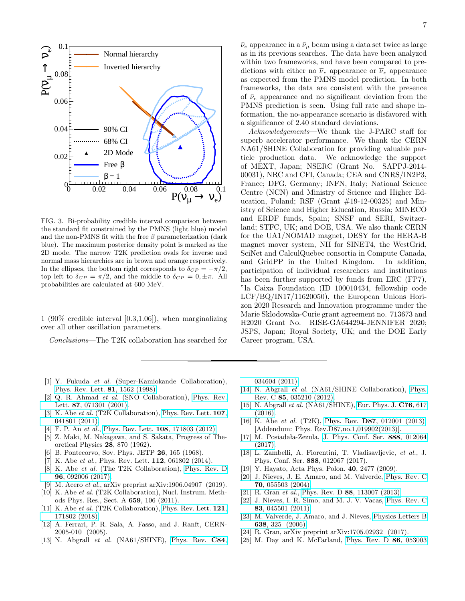

<span id="page-6-21"></span>FIG. 3. Bi-probability credible interval comparison between the standard fit constrained by the PMNS (light blue) model and the non-PMNS fit with the free  $\beta$  parameterization (dark blue). The maximum posterior density point is marked as the 2D mode. The narrow T2K prediction ovals for inverse and normal mass hierarchies are in brown and orange respectively. In the ellipses, the bottom right corresponds to  $\delta_{CP} = -\pi/2$ , top left to  $\delta_{CP} = \pi/2$ , and the middle to  $\delta_{CP} = 0, \pm \pi$ . All probabilities are calculated at 600 MeV.

1 (90% credible interval [0.3,1.06]), when marginalizing over all other oscillation parameters.

Conclusions—The T2K collaboration has searched for

 $\bar{\nu}_e$  appearance in a  $\bar{\nu}_\mu$  beam using a data set twice as large as in its previous searches. The data have been analyzed within two frameworks, and have been compared to predictions with either no  $\bar{\nu}_e$  appearance or  $\bar{\nu}_e$  appearance as expected from the PMNS model prediction. In both frameworks, the data are consistent with the presence of  $\bar{\nu}_e$  appearance and no significant deviation from the PMNS prediction is seen. Using full rate and shape information, the no-appearance scenario is disfavored with a significance of 2.40 standard deviations.

Acknowledgements—We thank the J-PARC staff for superb accelerator performance. We thank the CERN NA61/SHINE Collaboration for providing valuable particle production data. We acknowledge the support of MEXT, Japan; NSERC (Grant No. SAPPJ-2014- 00031), NRC and CFI, Canada; CEA and CNRS/IN2P3, France; DFG, Germany; INFN, Italy; National Science Centre (NCN) and Ministry of Science and Higher Education, Poland; RSF (Grant  $#19-12-00325$ ) and Ministry of Science and Higher Education, Russia; MINECO and ERDF funds, Spain; SNSF and SERI, Switzerland; STFC, UK; and DOE, USA. We also thank CERN for the UA1/NOMAD magnet, DESY for the HERA-B magnet mover system, NII for SINET4, the WestGrid, SciNet and CalculQuebec consortia in Compute Canada, and GridPP in the United Kingdom. In addition, participation of individual researchers and institutions has been further supported by funds from ERC (FP7), "la Caixa Foundation (ID 100010434, fellowship code LCF/BQ/IN17/11620050), the European Unions Horizon 2020 Research and Innovation programme under the Marie Sklodowska-Curie grant agreement no. 713673 and H2020 Grant No. RISE-GA644294-JENNIFER 2020; JSPS, Japan; Royal Society, UK; and the DOE Early Career program, USA.

[034604 \(2011\).](https://doi.org/10.1103/PhysRevC.84.034604)

- [14] N. Abgrall *et al.* (NA61/SHINE Collaboration), [Phys.](https://doi.org/10.1103/PhysRevC.85.035210) Rev. C 85[, 035210 \(2012\).](https://doi.org/10.1103/PhysRevC.85.035210)
- <span id="page-6-11"></span>[15] N. Abgrall et al. (NA61/SHINE), [Eur. Phys. J.](https://doi.org/10.1140/epjc/s10052-016-4440-y) **C76**, 617 [\(2016\).](https://doi.org/10.1140/epjc/s10052-016-4440-y)
- <span id="page-6-12"></span>[16] K. Abe et al. (T2K), Phys. Rev. D87[, 012001 \(2013\),](https://doi.org/10.1103/PhysRevD.87.012001, 10.1103/PhysRevD.87.019902) [Addendum: Phys. Rev.D87,no.1,019902(2013)].
- [17] M. Posiadała-Zezula, [J. Phys. Conf. Ser.](https://doi.org/10.1088/1742-6596/888/1/012064) 888, 012064 [\(2017\).](https://doi.org/10.1088/1742-6596/888/1/012064)
- <span id="page-6-13"></span>[18] L. Zambelli, A. Fiorentini, T. Vladisavljevic, et al., J. Phys. Conf. Ser. 888, 012067 (2017).
- <span id="page-6-14"></span>[19] Y. Hayato, Acta Phys. Polon. 40, 2477 (2009).
- <span id="page-6-15"></span>[20] J. Nieves, J. E. Amaro, and M. Valverde, [Phys. Rev. C](https://doi.org/10.1103/PhysRevC.70.055503) 70[, 055503 \(2004\).](https://doi.org/10.1103/PhysRevC.70.055503)
- <span id="page-6-16"></span>[21] R. Gran et al., Phys. Rev. D 88[, 113007 \(2013\).](https://doi.org/10.1103/PhysRevD.88.113007)
- <span id="page-6-17"></span>[22] J. Nieves, I. R. Simo, and M. J. V. Vacas, [Phys. Rev. C](https://doi.org/10.1103/PhysRevC.83.045501) 83[, 045501 \(2011\).](https://doi.org/10.1103/PhysRevC.83.045501)
- <span id="page-6-18"></span>[23] M. Valverde, J. Amaro, and J. Nieves, [Physics Letters B](https://doi.org/https://doi.org/10.1016/j.physletb.2006.05.053) 638[, 325 \(2006\).](https://doi.org/https://doi.org/10.1016/j.physletb.2006.05.053)
- <span id="page-6-19"></span>[24] R. Gran, arXiv preprint arXiv:1705.02932 (2017).
- <span id="page-6-20"></span>[25] M. Day and K. McFarland, [Phys. Rev. D](https://doi.org/10.1103/PhysRevD.86.053003) 86, 053003
- <span id="page-6-0"></span>[1] Y. Fukuda et al. (Super-Kamiokande Collaboration), [Phys. Rev. Lett.](https://doi.org/10.1103/PhysRevLett.81.1562) 81, 1562 (1998).
- [2] Q. R. Ahmad et al. (SNO Collaboration), [Phys. Rev.](https://doi.org/10.1103/PhysRevLett.87.071301) Lett. 87[, 071301 \(2001\).](https://doi.org/10.1103/PhysRevLett.87.071301)
- [3] K. Abe et al. (T2K Collaboration), [Phys. Rev. Lett.](https://doi.org/10.1103/PhysRevLett.107.041801) 107, [041801 \(2011\).](https://doi.org/10.1103/PhysRevLett.107.041801)
- <span id="page-6-1"></span>[4] F. P. An et al., [Phys. Rev. Lett.](https://doi.org/10.1103/PhysRevLett.108.171803) 108, 171803 (2012).
- <span id="page-6-2"></span>[5] Z. Maki, M. Nakagawa, and S. Sakata, Progress of Theoretical Physics 28, 870 (1962).
- <span id="page-6-3"></span>[6] B. Pontecorvo, Sov. Phys. JETP 26, 165 (1968).
- <span id="page-6-4"></span> $[7]$  K. Abe et al., Phys. Rev. Lett. 112, 061802 (2014).
- <span id="page-6-5"></span>[8] K. Abe et al. (The T2K Collaboration), [Phys. Rev. D](https://doi.org/10.1103/PhysRevD.96.092006) 96[, 092006 \(2017\).](https://doi.org/10.1103/PhysRevD.96.092006)
- <span id="page-6-6"></span>[9] M. Acero et al., arXiv preprint arXiv:1906.04907 (2019).
- <span id="page-6-7"></span>[10] K. Abe et al. (T2K Collaboration), Nucl. Instrum. Methods Phys. Res., Sect. A 659, 106 (2011).
- <span id="page-6-8"></span>[11] K. Abe et al. (T2K Collaboration), [Phys. Rev. Lett.](https://doi.org/10.1103/PhysRevLett.121.171802) 121, [171802 \(2018\).](https://doi.org/10.1103/PhysRevLett.121.171802)
- <span id="page-6-9"></span>[12] A. Ferrari, P. R. Sala, A. Fasso, and J. Ranft, CERN-2005-010 (2005).
- <span id="page-6-10"></span>[13] N. Abgrall *et al.* (NA61/SHINE), [Phys. Rev.](https://doi.org/10.1103/PhysRevC.84.034604) **C84**,